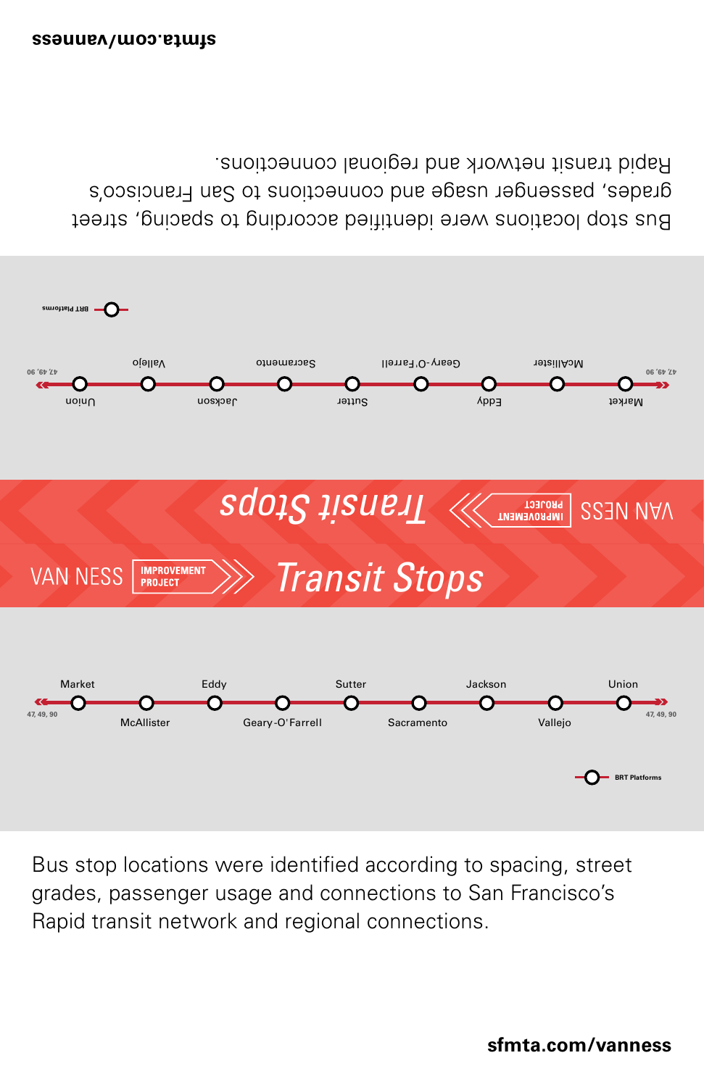



Bus stop locations were identified according to spacing, street grades, passenger usage and connections to San Francisco's Rapid transit network and regional connections.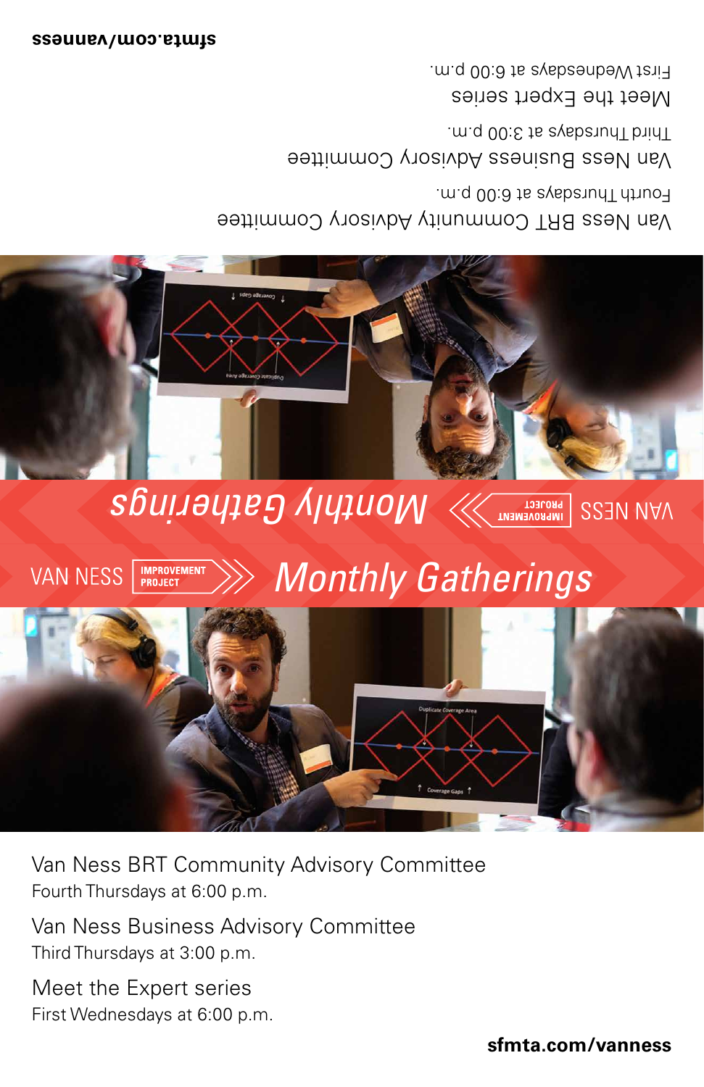#### *Monthly Gatherings* **VAN NESS IMPROVEMENT**<br>PROJECT



Van Ness BRT Community Advisory Committee Fourth Thursdays at 6:00 p.m.

Van Ness Business Advisory Committee Third Thursdays at 3:00 p.m.

Meet the Expert series First Wednesdays at 6:00 p.m.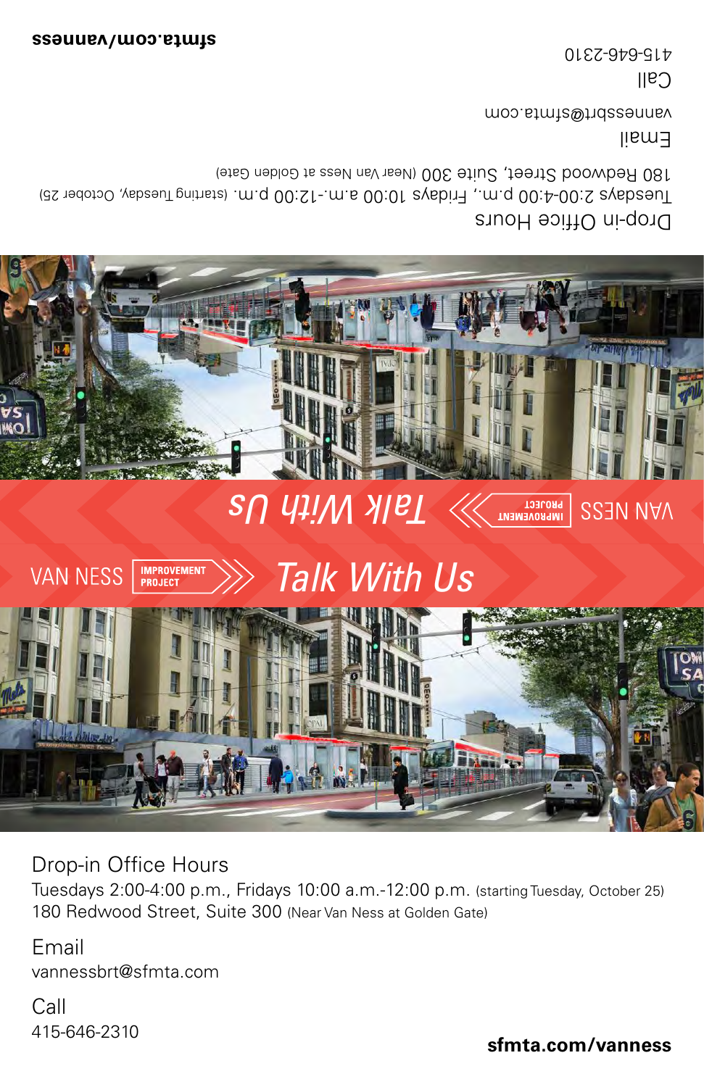#### IMPROVEMENT VAN NESS | *Talk With Us*



Drop-in Office Hours

Tuesdays 2:00-4:00 p.m., Fridays 10:00 a.m.-12:00 p.m. (starting Tuesday, October 25) 180 Redwood Street, Suite 300 (Near Van Ness at Golden Gate)

Email vannessbrt@sfmta.com

Call 415-646-2310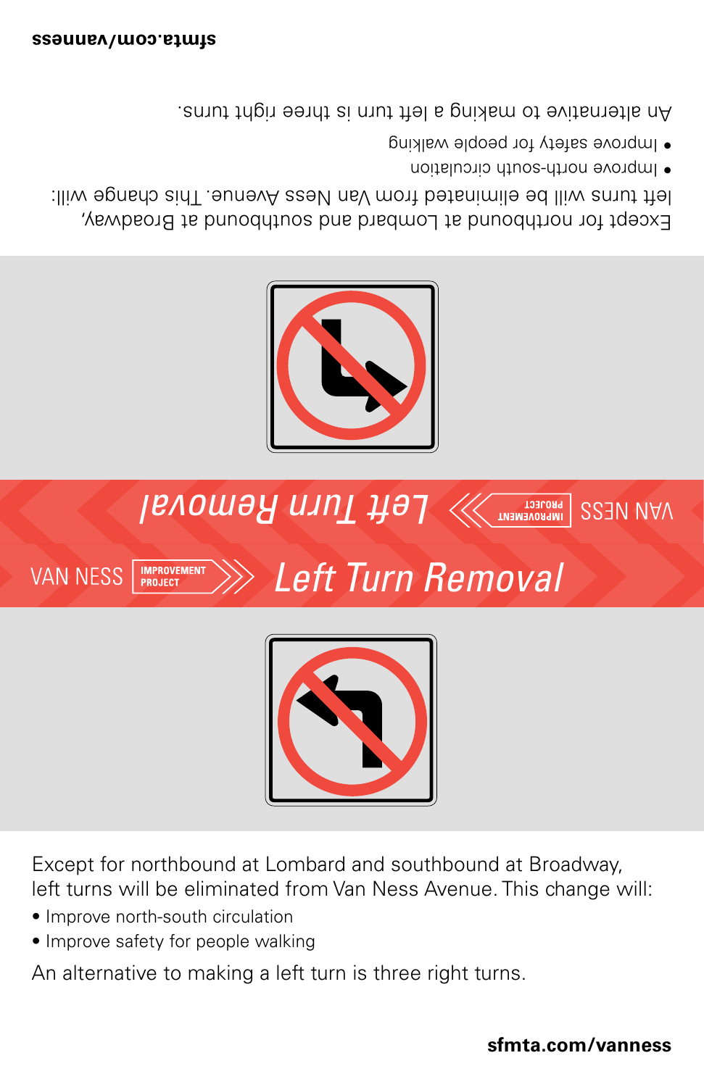



Except for northbound at Lombard and southbound at Broadway, left turns will be eliminated from Van Ness Avenue. This change will:

- Improve north-south circulation
- Improve safety for people walking

An alternative to making a left turn is three right turns.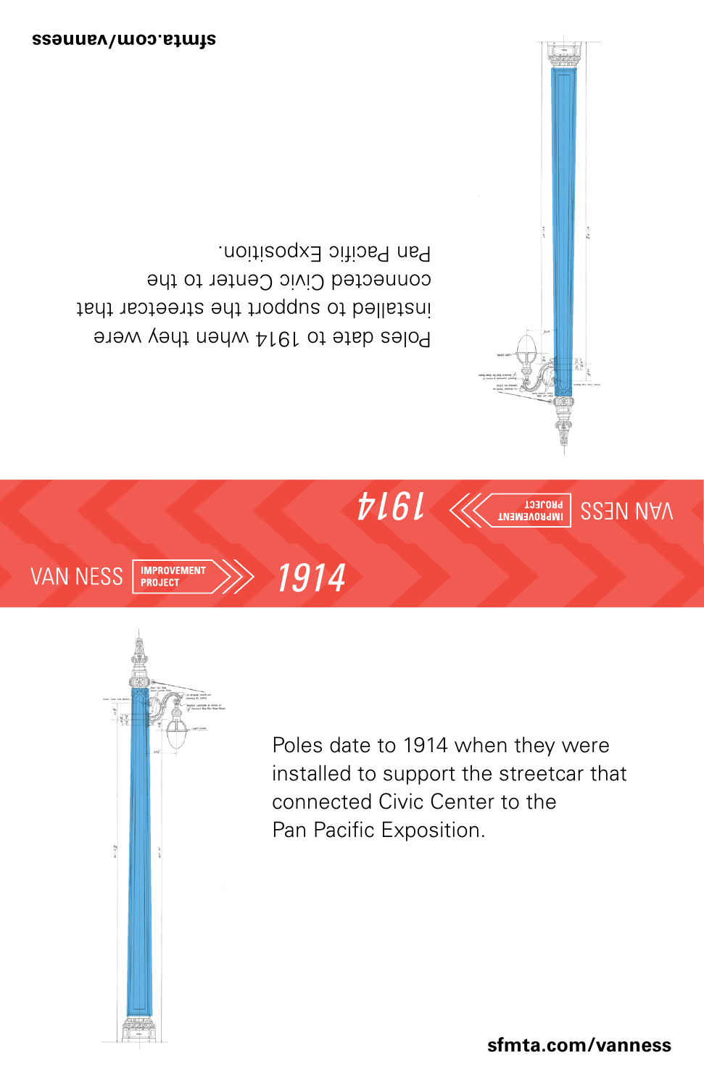IMPROVEMENT VAN NESS

Figure 2.11: Street Light Bracket

*1914*

From 1936 Relocation Project

**2.5.2 Poles** 



Department of Public Works 2-8

Bureau of Engineering

Poles date to 1914 when they were installed to support the streetcar that connected Civic Center to the Pan Pacific Exposition.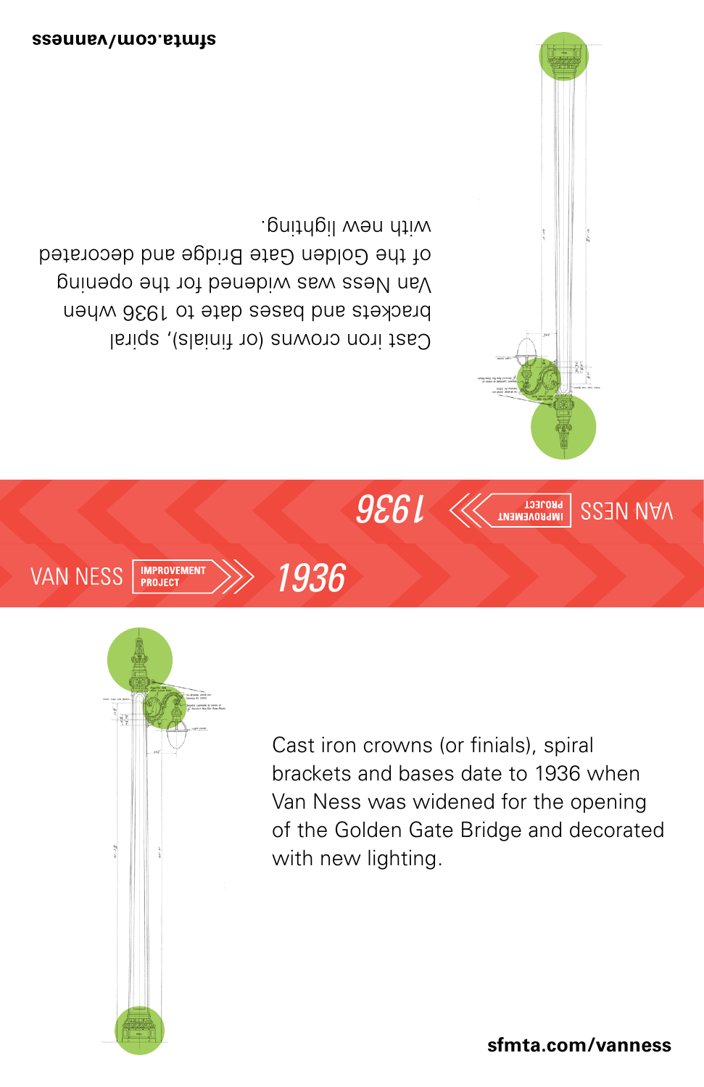

Department of Public Works 2-8

Bureau of Engineering

Figure 2.11: Street Light Bracket

Cast iron crowns (or finials), spiral brackets and bases date to 1936 when Van Ness was widened for the opening of the Golden Gate Bridge and decorated with new lighting.

*1936*

From 1936 Relocation Project

**2.5.2 Poles**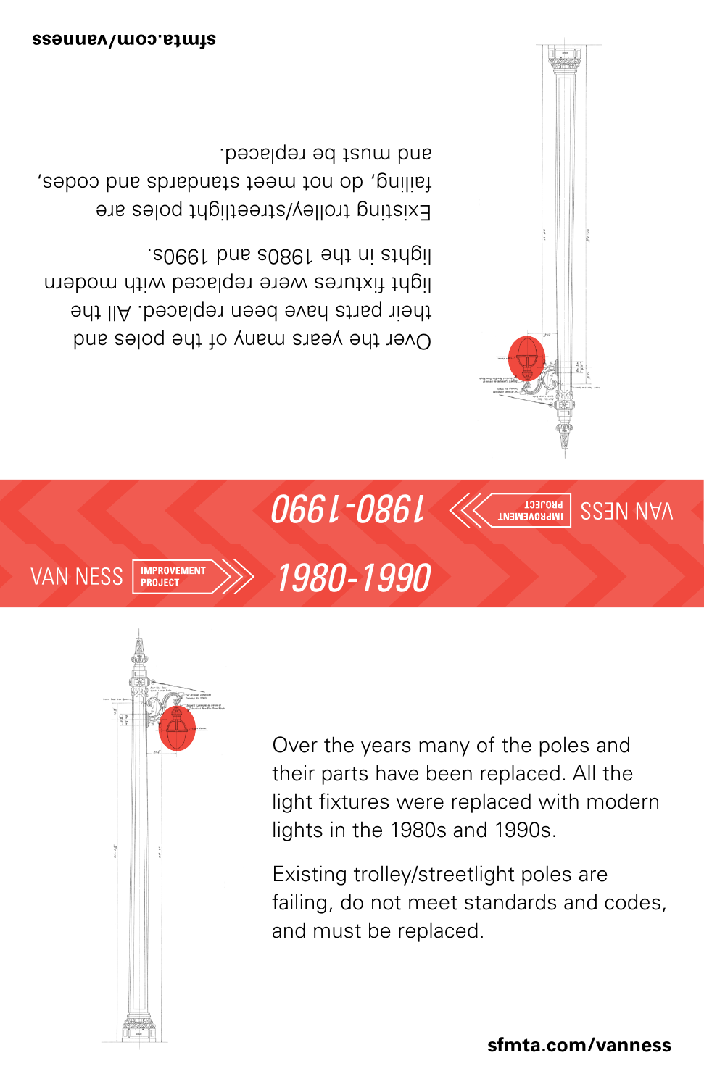**IMPROVEMENT**<br>PROJECT **VAN NESS** 



Department of Public Works 2-8

Bureau of Engineering

Figure 2.11: Street Light Bracket

Over the years many of the poles and their parts have been replaced. All the light fixtures were replaced with modern lights in the 1980s and 1990s.

*1980-1990*

From 1936 Relocation Project

**2.5.2 Poles** 

Existing trolley/streetlight poles are failing, do not meet standards and codes, and must be replaced. **VAN NESS BRT OCS SUPPORT POLES/STREETLIGHTS CONCEPTUAL ENGINEERING REPORT**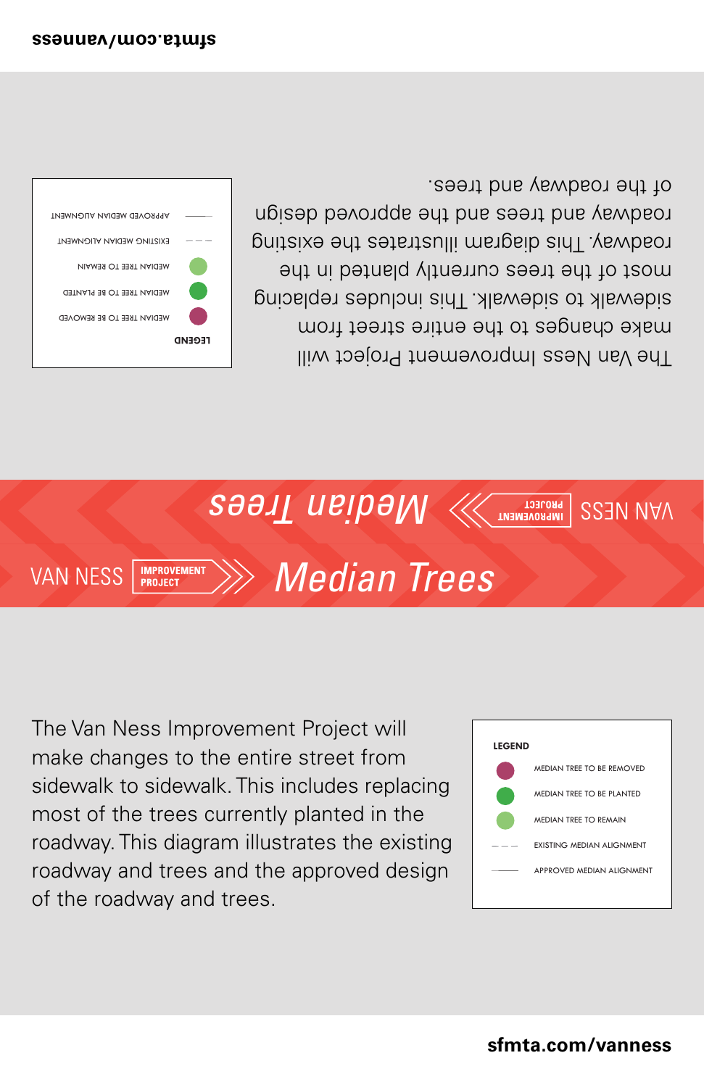

The Van Ness Improvement Project will make changes to the entire street from sidewalk to sidewalk. This includes replacing most of the trees currently planted in the roadway. This diagram illustrates the existing roadway and trees and the approved design of the roadway and trees.

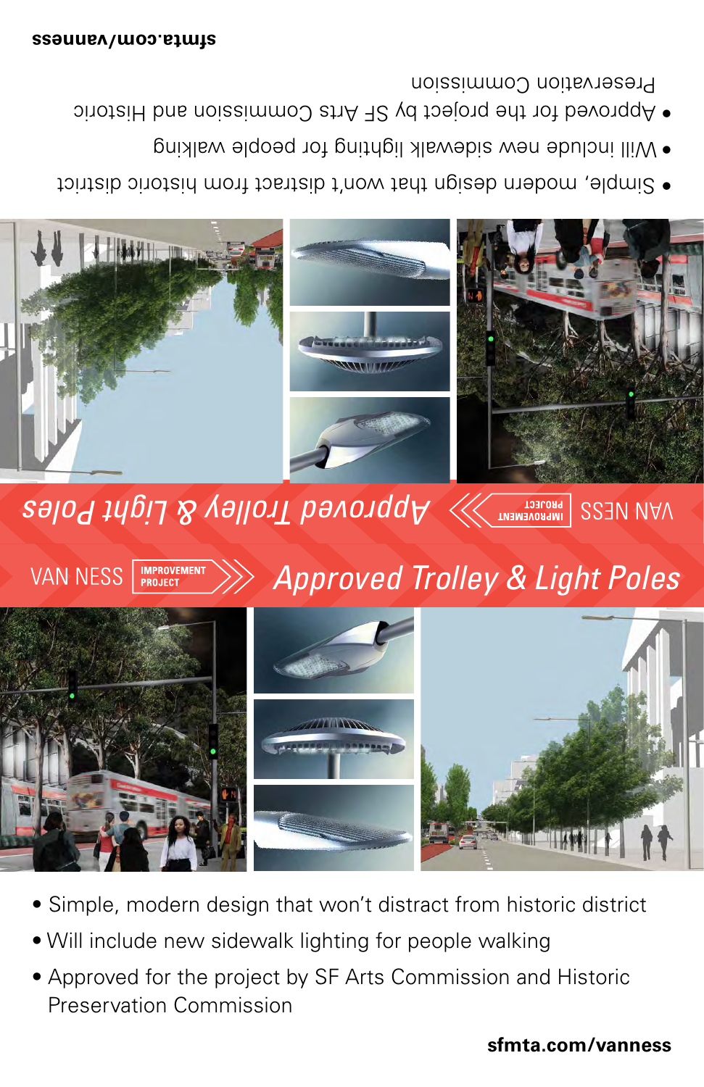#### **VAN NESS IMPROVEMENT**<br>PROJECT *Approved Trolley & Light Poles*



- Simple, modern design that won't distract from historic district
- Will include new sidewalk lighting for people walking
- Approved for the project by SF Arts Commission and Historic Preservation Commission